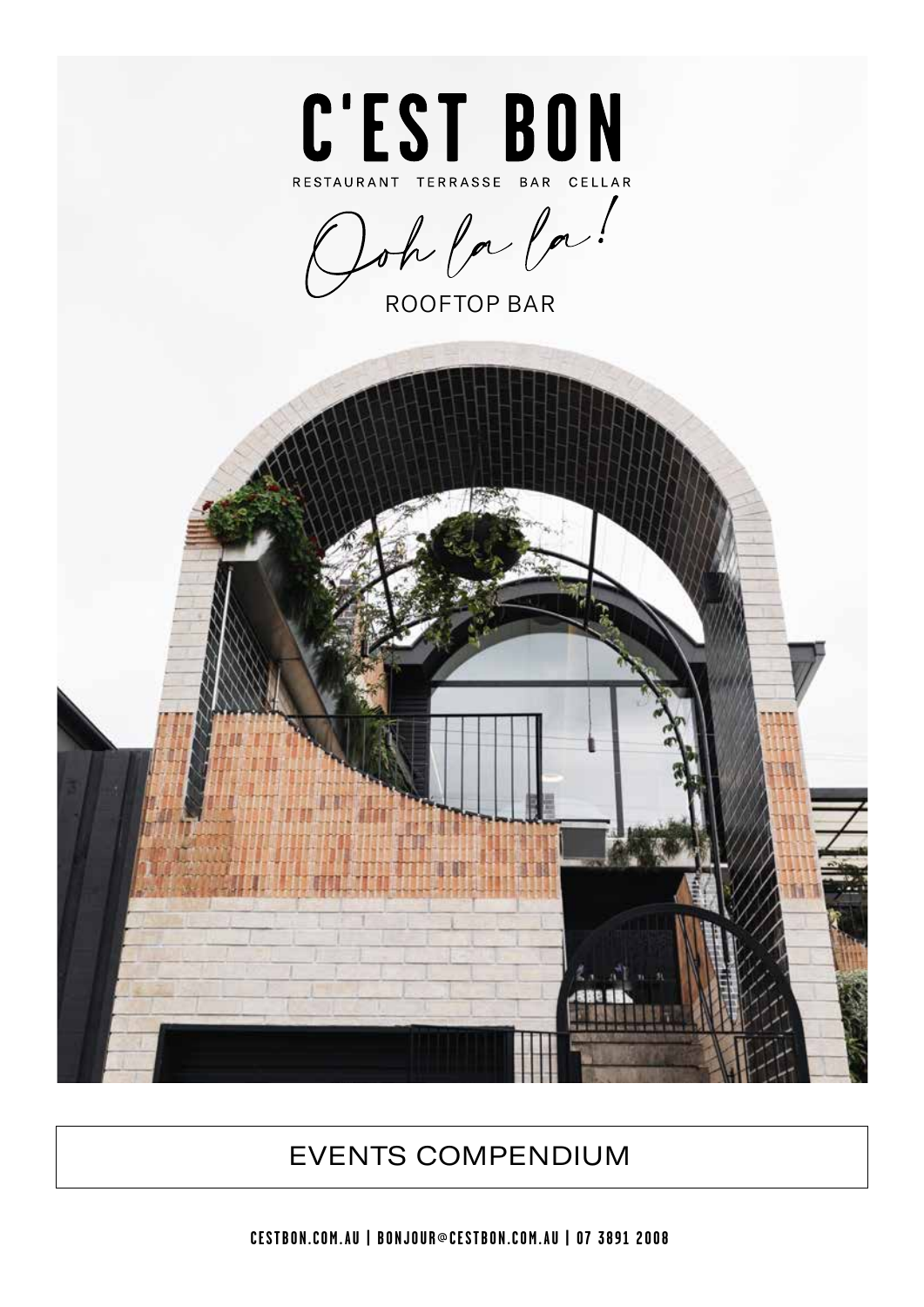

Joh la la! ROOFTOP BAR



### EVENTS COMPENDIUM

**CESTBON.COM.AU | BONJOUR@CESTBON.COM.AU | 07 3891 2008**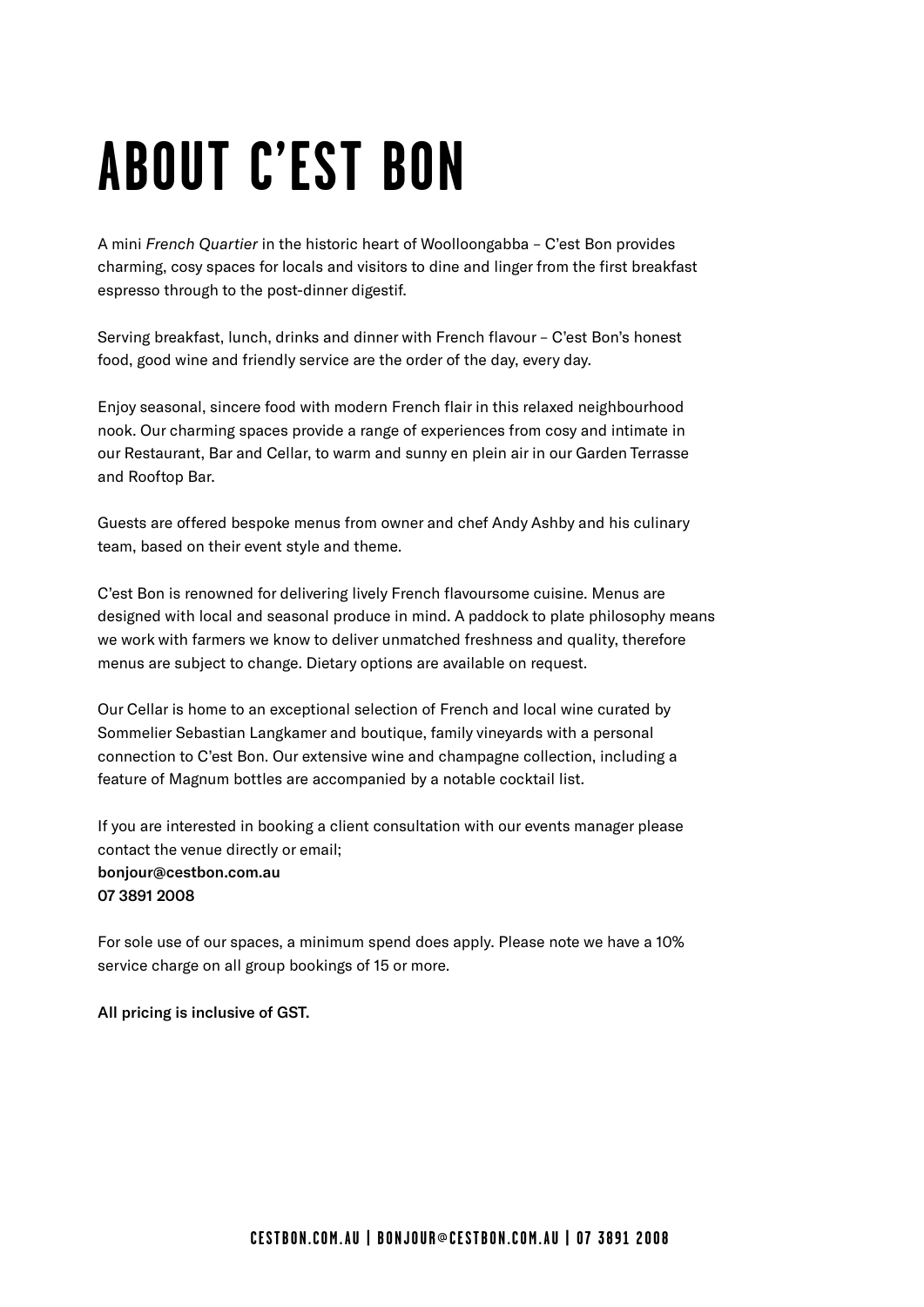# **ABOUT C'EST BON**

A mini *French Quartier* in the historic heart of Woolloongabba – C'est Bon provides charming, cosy spaces for locals and visitors to dine and linger from the first breakfast espresso through to the post-dinner digestif.

Serving breakfast, lunch, drinks and dinner with French flavour – C'est Bon's honest food, good wine and friendly service are the order of the day, every day.

Enjoy seasonal, sincere food with modern French flair in this relaxed neighbourhood nook. Our charming spaces provide a range of experiences from cosy and intimate in our Restaurant, Bar and Cellar, to warm and sunny en plein air in our Garden Terrasse and Rooftop Bar.

Guests are offered bespoke menus from owner and chef Andy Ashby and his culinary team, based on their event style and theme.

C'est Bon is renowned for delivering lively French flavoursome cuisine. Menus are designed with local and seasonal produce in mind. A paddock to plate philosophy means we work with farmers we know to deliver unmatched freshness and quality, therefore menus are subject to change. Dietary options are available on request.

Our Cellar is home to an exceptional selection of French and local wine curated by Sommelier Sebastian Langkamer and boutique, family vineyards with a personal connection to C'est Bon. Our extensive wine and champagne collection, including a feature of Magnum bottles are accompanied by a notable cocktail list.

If you are interested in booking a client consultation with our events manager please contact the venue directly or email; bonjour@cestbon.com.au 07 3891 2008

For sole use of our spaces, a minimum spend does apply. Please note we have a 10% service charge on all group bookings of 15 or more.

All pricing is inclusive of GST.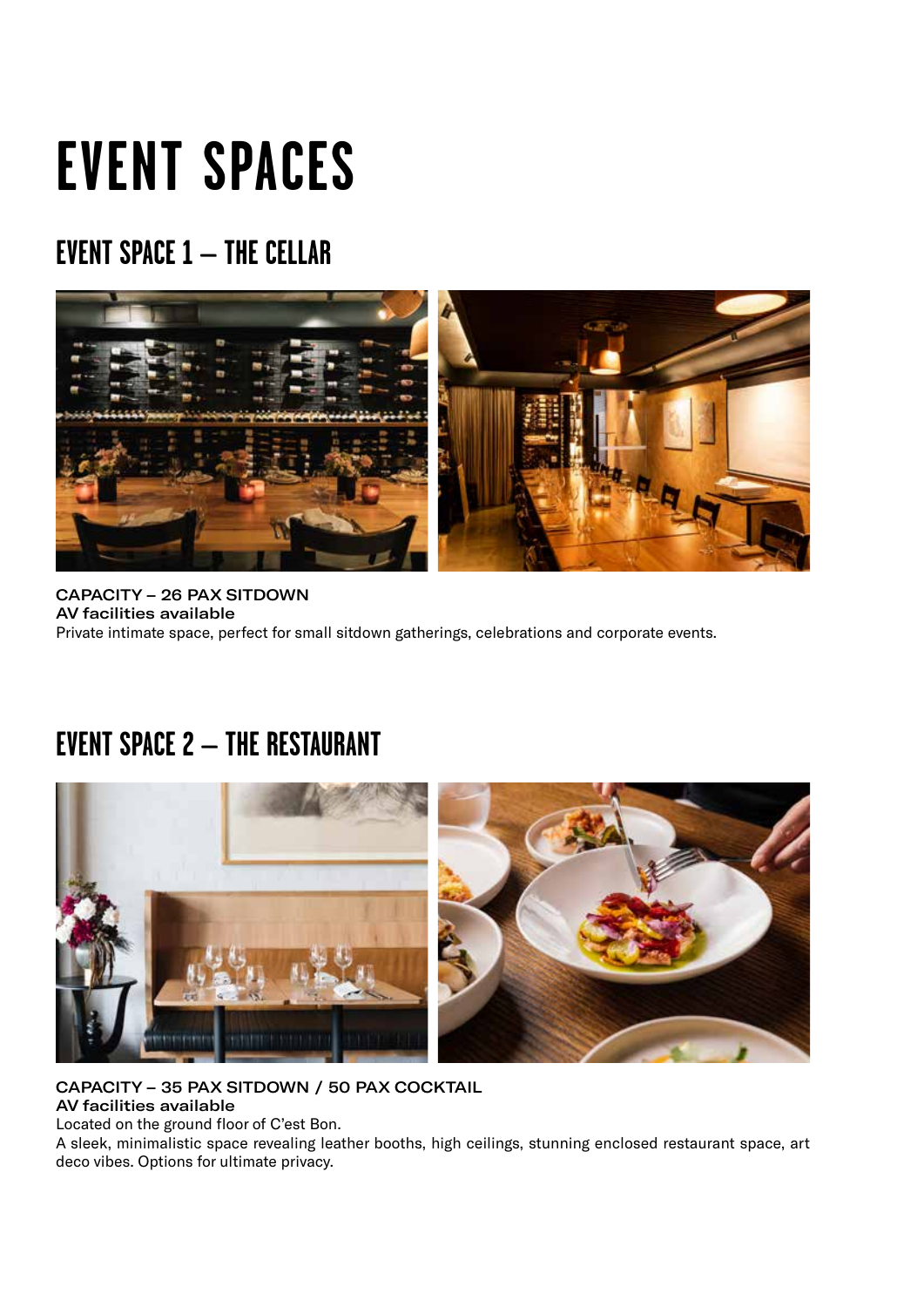## **EVENT SPACES**

## **EVENT SPACE 1 – THE CELLAR**



CAPACITY – 26 PAX SITDOWN AV facilities available Private intimate space, perfect for small sitdown gatherings, celebrations and corporate events.

## **EVENT SPACE 2 – THE RESTAURANT**



CAPACITY – 35 PAX SITDOWN / 50 PAX COCKTAIL AV facilities available

Located on the ground floor of C'est Bon.

A sleek, minimalistic space revealing leather booths, high ceilings, stunning enclosed restaurant space, art deco vibes. Options for ultimate privacy.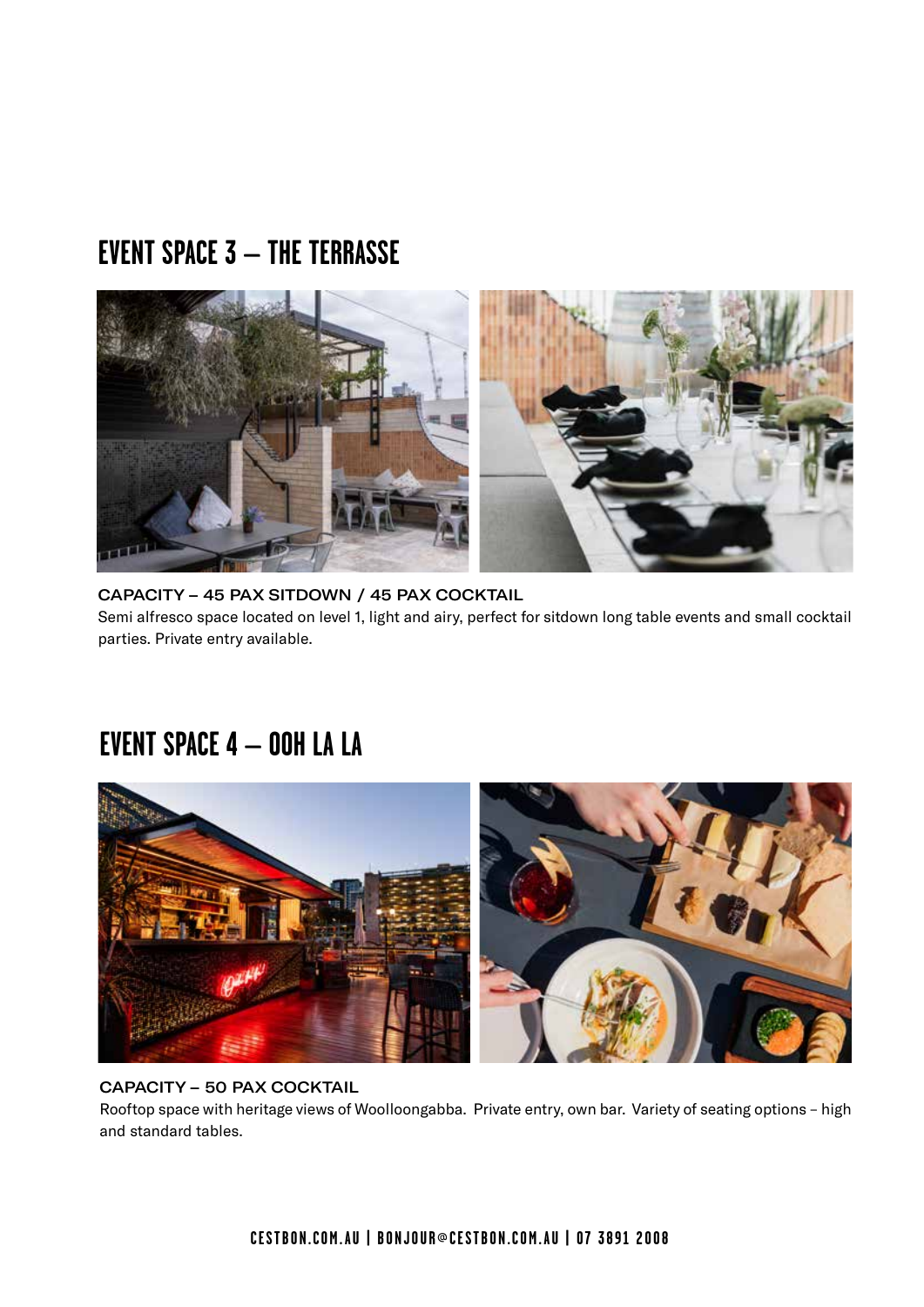### **EVENT SPACE 3 – THE TERRASSE**



CAPACITY – 45 PAX SITDOWN / 45 PAX COCKTAIL Semi alfresco space located on level 1, light and airy, perfect for sitdown long table events and small cocktail parties. Private entry available.

### **EVENT SPACE 4 – OOH LA LA**



#### CAPACITY – 50 PAX COCKTAIL

Rooftop space with heritage views of Woolloongabba. Private entry, own bar. Variety of seating options – high and standard tables.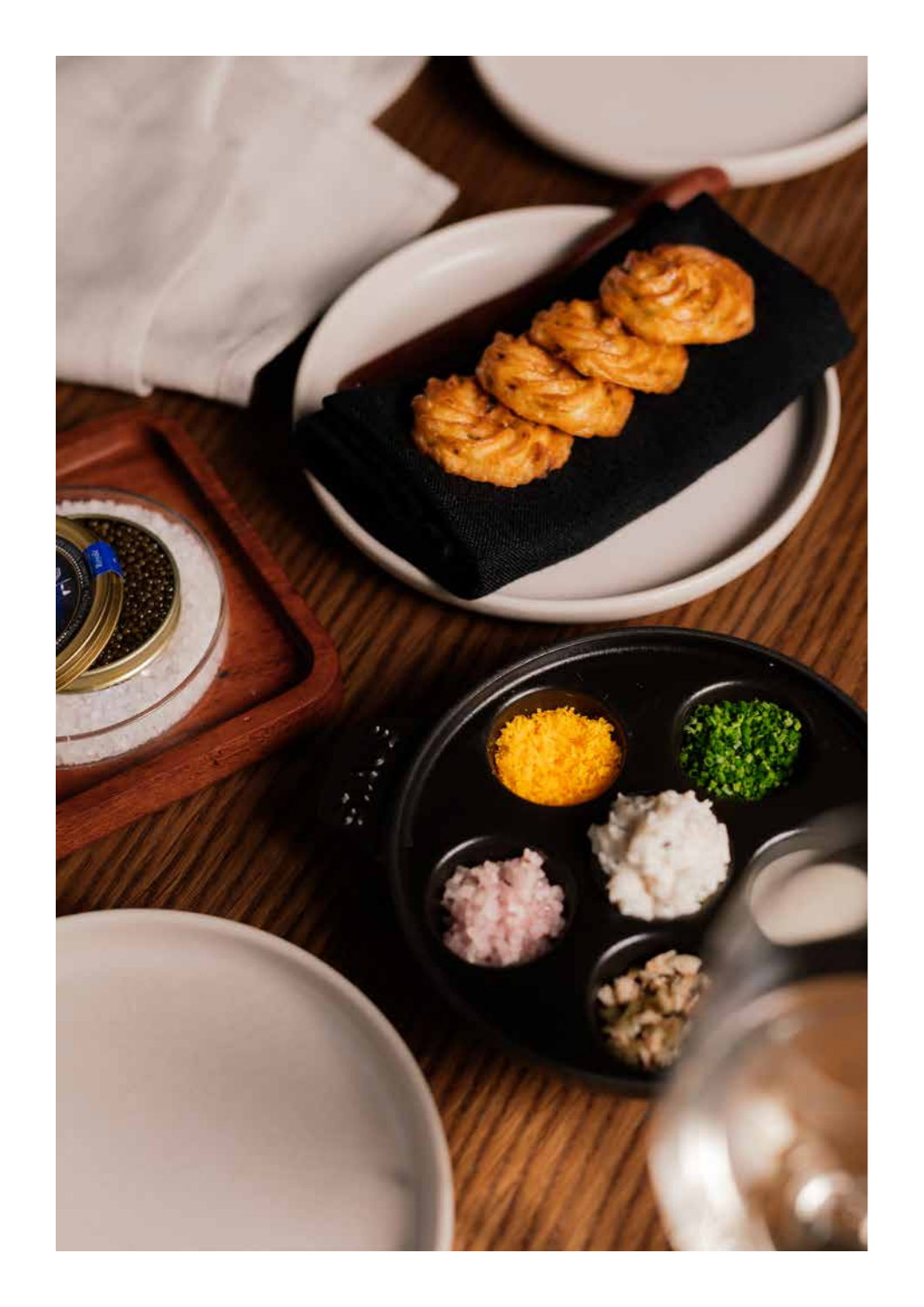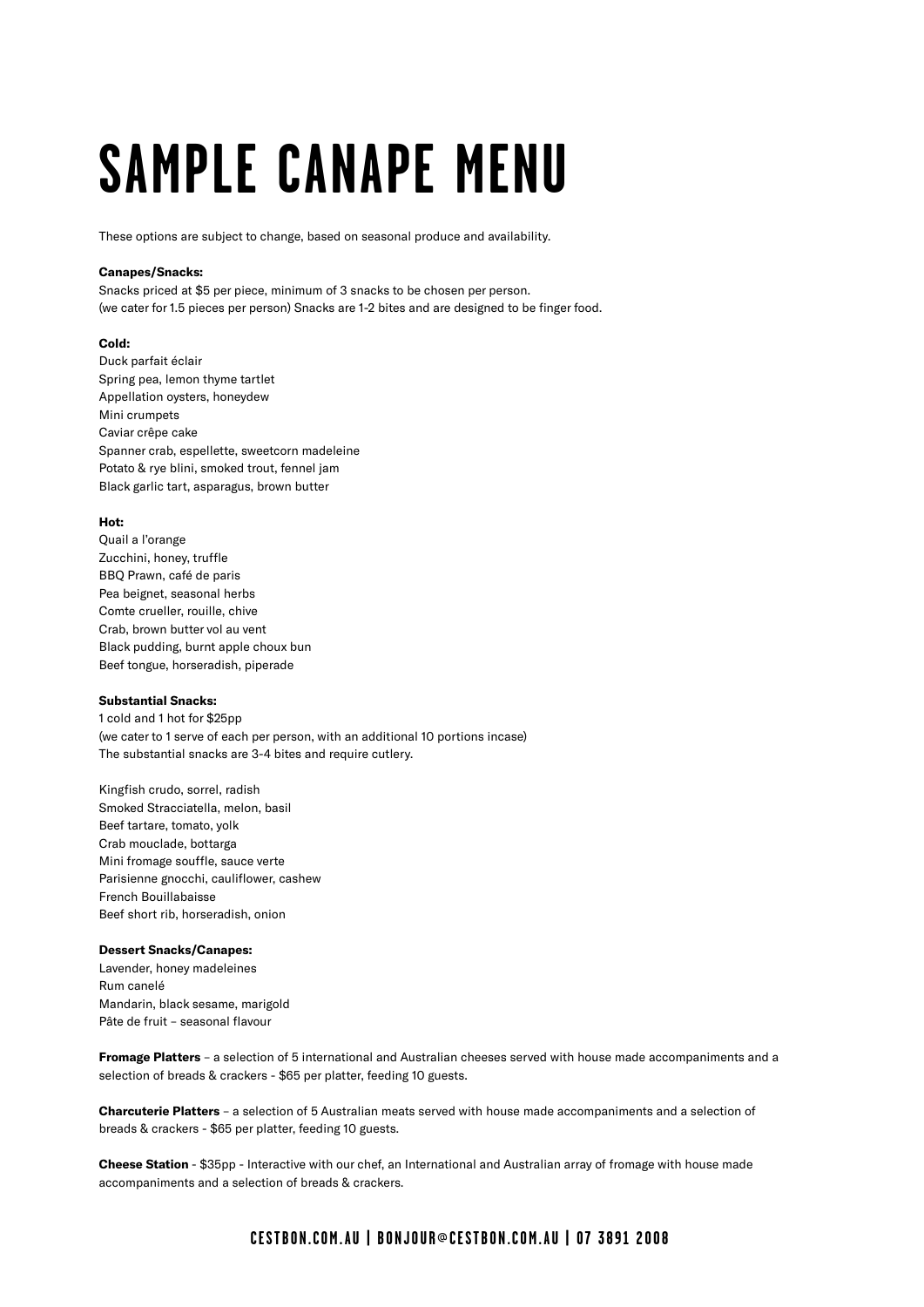## **SAMPLE CANAPE MENU**

These options are subject to change, based on seasonal produce and availability.

#### **Canapes/Snacks:**

Snacks priced at \$5 per piece, minimum of 3 snacks to be chosen per person. (we cater for 1.5 pieces per person) Snacks are 1-2 bites and are designed to be finger food.

#### **Cold:**

Duck parfait éclair Spring pea, lemon thyme tartlet Appellation oysters, honeydew Mini crumpets Caviar crêpe cake Spanner crab, espellette, sweetcorn madeleine Potato & rye blini, smoked trout, fennel jam Black garlic tart, asparagus, brown butter

#### **Hot:**

Quail a l'orange Zucchini, honey, truffle BBQ Prawn, café de paris Pea beignet, seasonal herbs Comte crueller, rouille, chive Crab, brown butter vol au vent Black pudding, burnt apple choux bun Beef tongue, horseradish, piperade

#### **Substantial Snacks:**

1 cold and 1 hot for \$25pp (we cater to 1 serve of each per person, with an additional 10 portions incase) The substantial snacks are 3-4 bites and require cutlery.

Kingfish crudo, sorrel, radish Smoked Stracciatella, melon, basil Beef tartare, tomato, yolk Crab mouclade, bottarga Mini fromage souffle, sauce verte Parisienne gnocchi, cauliflower, cashew French Bouillabaisse Beef short rib, horseradish, onion

#### **Dessert Snacks/Canapes:**

Lavender, honey madeleines Rum canelé Mandarin, black sesame, marigold Pâte de fruit – seasonal flavour

**Fromage Platters** – a selection of 5 international and Australian cheeses served with house made accompaniments and a selection of breads & crackers - \$65 per platter, feeding 10 guests.

**Charcuterie Platters** – a selection of 5 Australian meats served with house made accompaniments and a selection of breads & crackers - \$65 per platter, feeding 10 guests.

**Cheese Station** - \$35pp - Interactive with our chef, an International and Australian array of fromage with house made accompaniments and a selection of breads & crackers.

#### **CESTBON.COM.AU | BONJOUR@CESTBON.COM.AU | 07 3891 2008**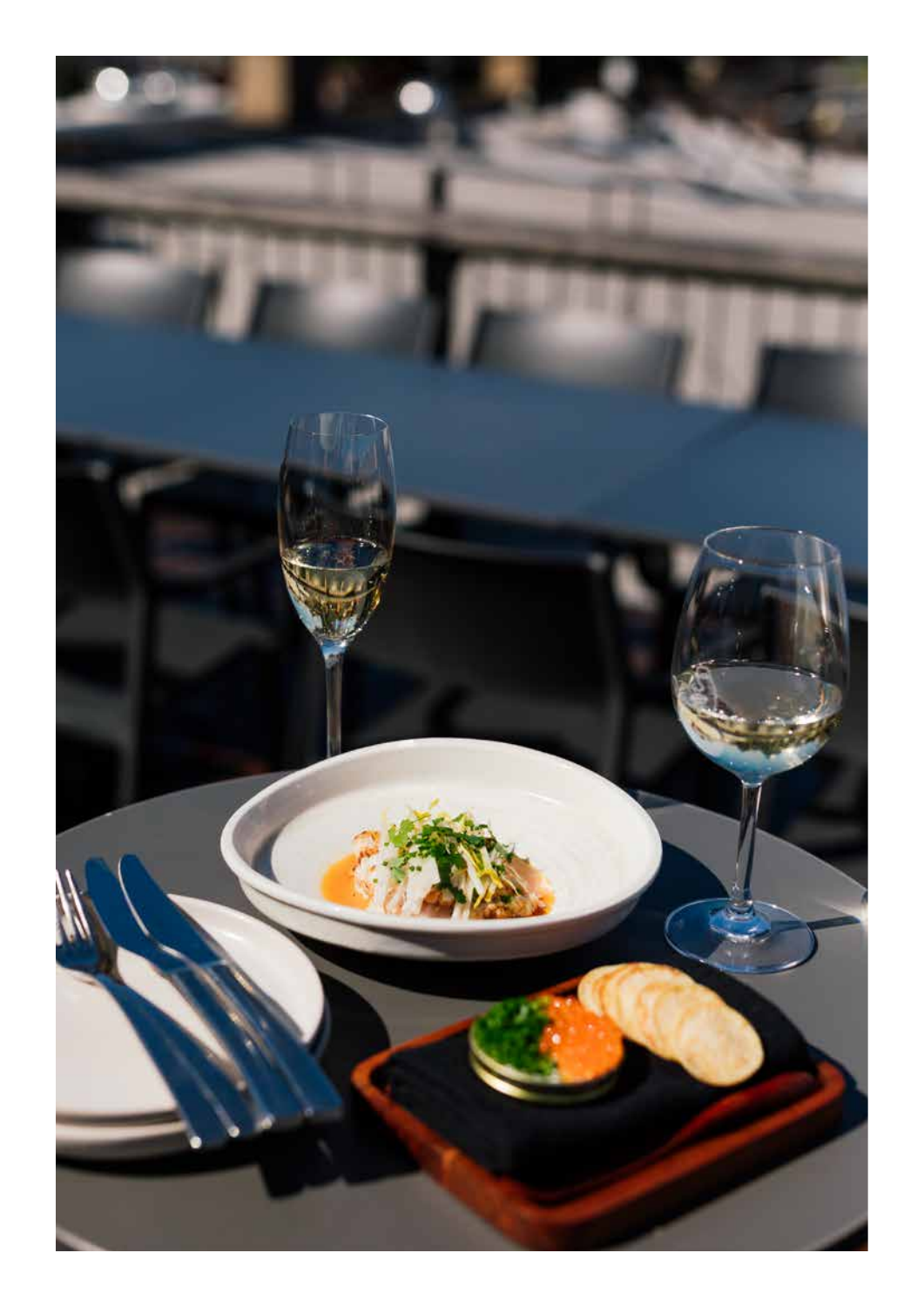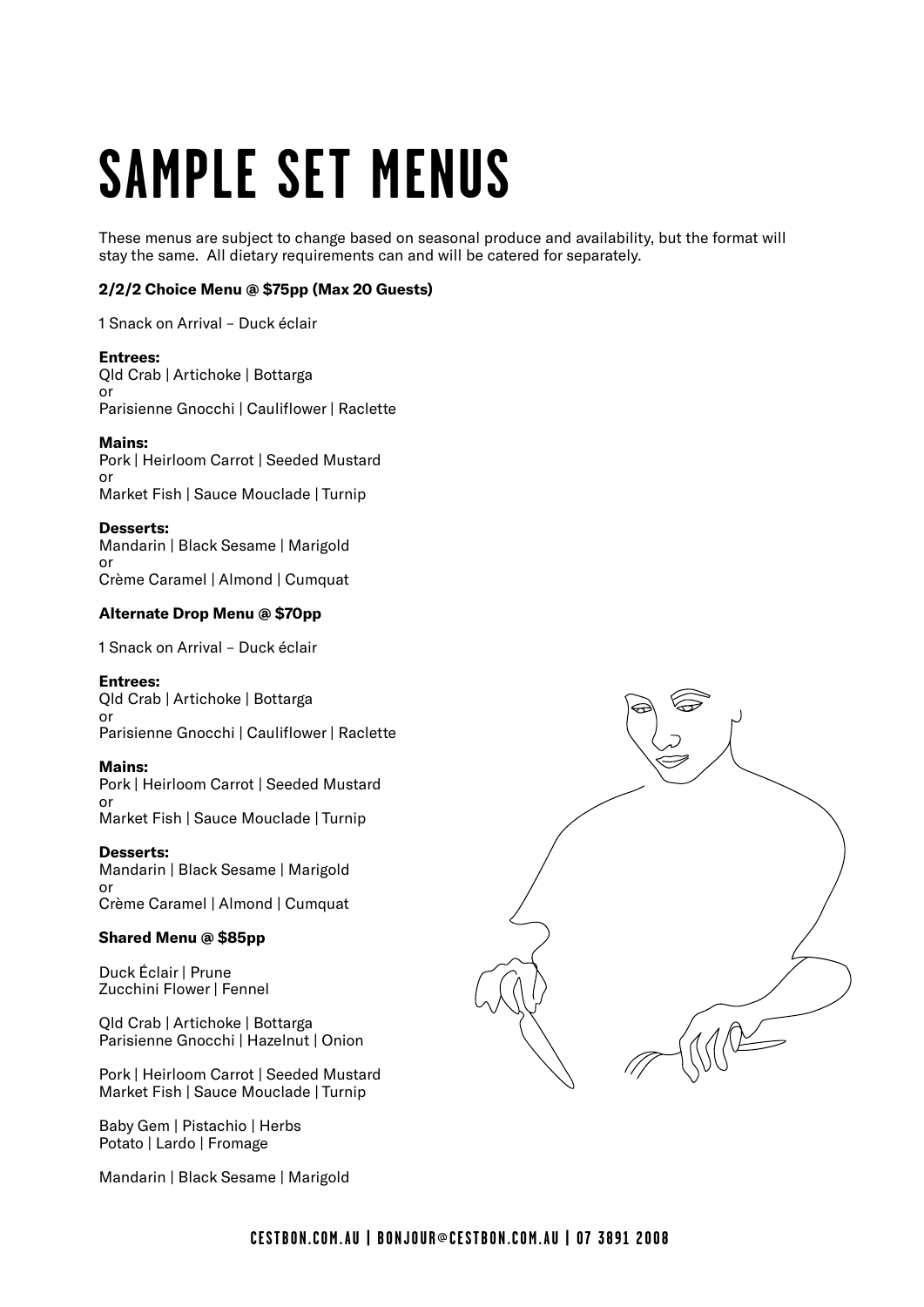# **SAMPLE SET MENUS**

These menus are subject to change based on seasonal produce and availability, but the format will stay the same. All dietary requirements can and will be catered for separately.

#### **2/2/2 Choice Menu @ \$75pp (Max 20 Guests)**

1 Snack on Arrival – Duck éclair

#### **Entrees:**

Qld Crab | Artichoke | Bottarga or Parisienne Gnocchi | Cauliflower | Raclette

#### **Mains:**

Pork | Heirloom Carrot | Seeded Mustard or Market Fish | Sauce Mouclade | Turnip

#### **Desserts:**

Mandarin | Black Sesame | Marigold or Crème Caramel | Almond | Cumquat

#### **Alternate Drop Menu @ \$70pp**

1 Snack on Arrival – Duck éclair

#### **Entrees:**

Qld Crab | Artichoke | Bottarga or Parisienne Gnocchi | Cauliflower | Raclette

#### **Mains:**

Pork | Heirloom Carrot | Seeded Mustard or Market Fish | Sauce Mouclade | Turnip

#### **Desserts:**

Mandarin | Black Sesame | Marigold or Crème Caramel | Almond | Cumquat

#### **Shared Menu @ \$85pp**

Duck Éclair | Prune Zucchini Flower | Fennel

Qld Crab | Artichoke | Bottarga Parisienne Gnocchi | Hazelnut | Onion

Pork | Heirloom Carrot | Seeded Mustard Market Fish | Sauce Mouclade | Turnip

Baby Gem | Pistachio | Herbs Potato | Lardo | Fromage

Mandarin | Black Sesame | Marigold

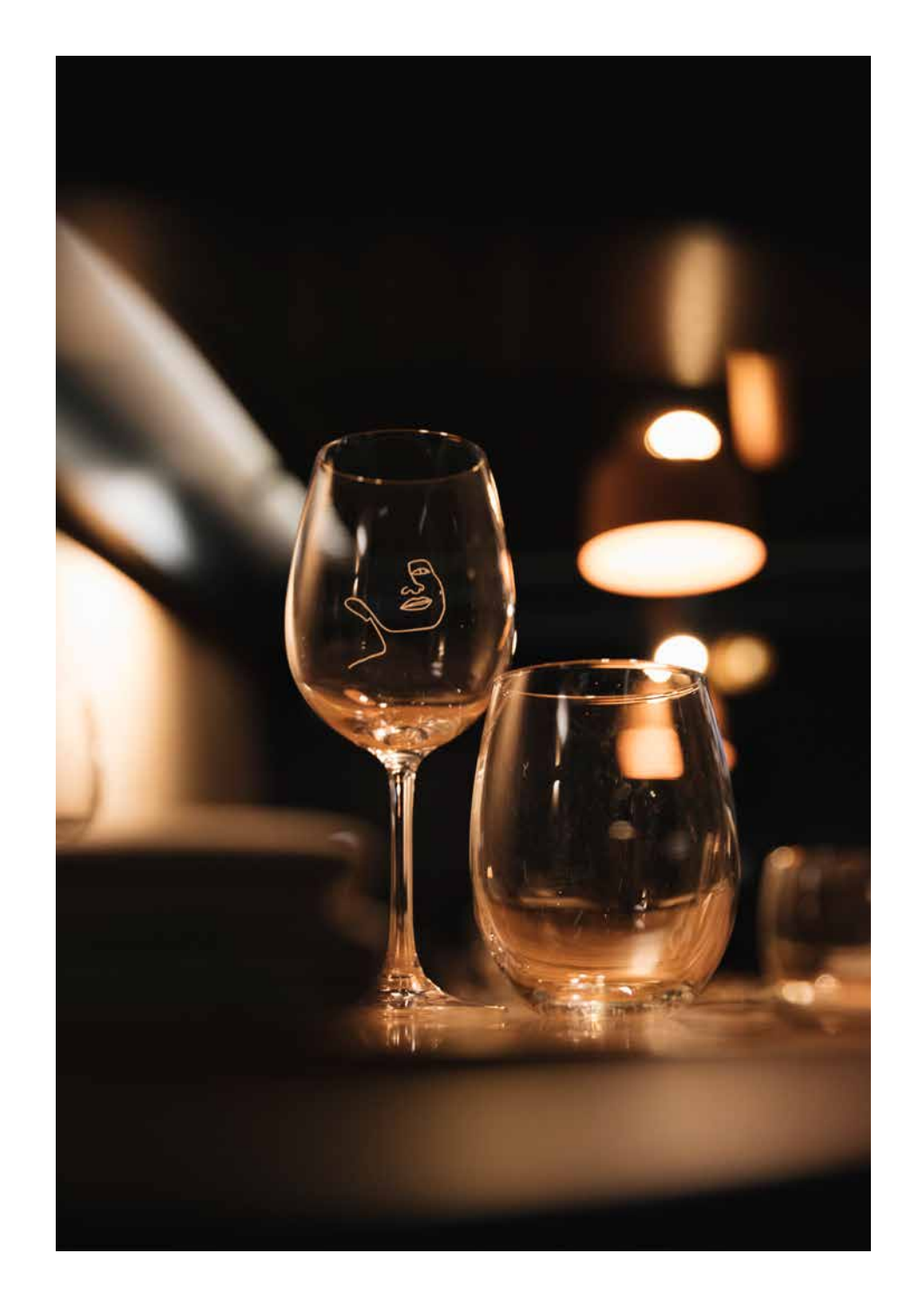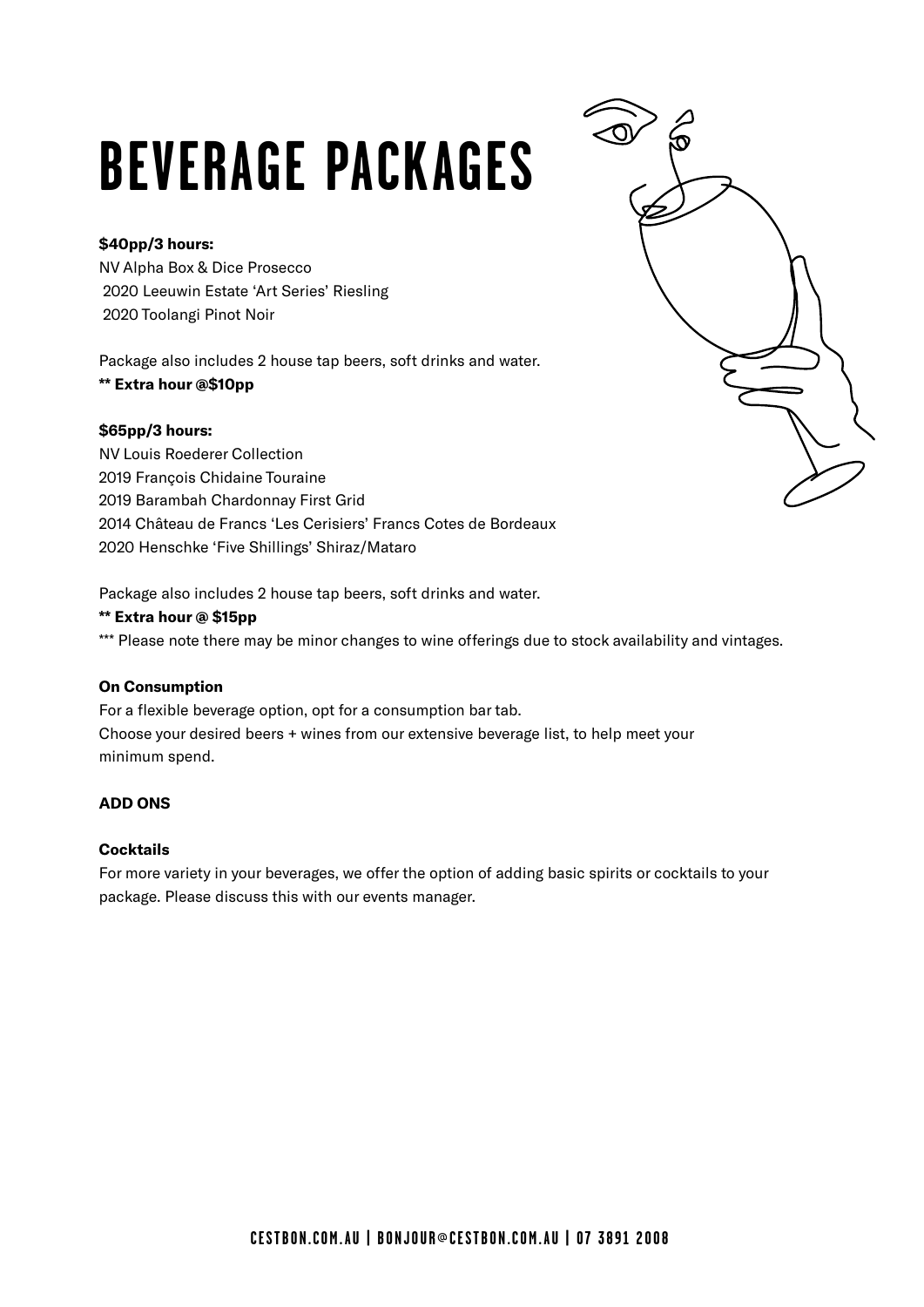# **BEVERAGE PACKAGES**

#### **\$40pp/3 hours:**

NV Alpha Box & Dice Prosecco 2020 Leeuwin Estate 'Art Series' Riesling 2020 Toolangi Pinot Noir

Package also includes 2 house tap beers, soft drinks and water. **\*\* Extra hour @\$10pp**

#### **\$65pp/3 hours:**

NV Louis Roederer Collection 2019 François Chidaine Touraine 2019 Barambah Chardonnay First Grid 2014 Château de Francs 'Les Cerisiers' Francs Cotes de Bordeaux 2020 Henschke 'Five Shillings' Shiraz/Mataro



Package also includes 2 house tap beers, soft drinks and water.

#### **\*\* Extra hour @ \$15pp**

\*\*\* Please note there may be minor changes to wine offerings due to stock availability and vintages.

#### **On Consumption**

For a flexible beverage option, opt for a consumption bar tab. Choose your desired beers + wines from our extensive beverage list, to help meet your minimum spend.

#### **ADD ONS**

#### **Cocktails**

For more variety in your beverages, we offer the option of adding basic spirits or cocktails to your package. Please discuss this with our events manager.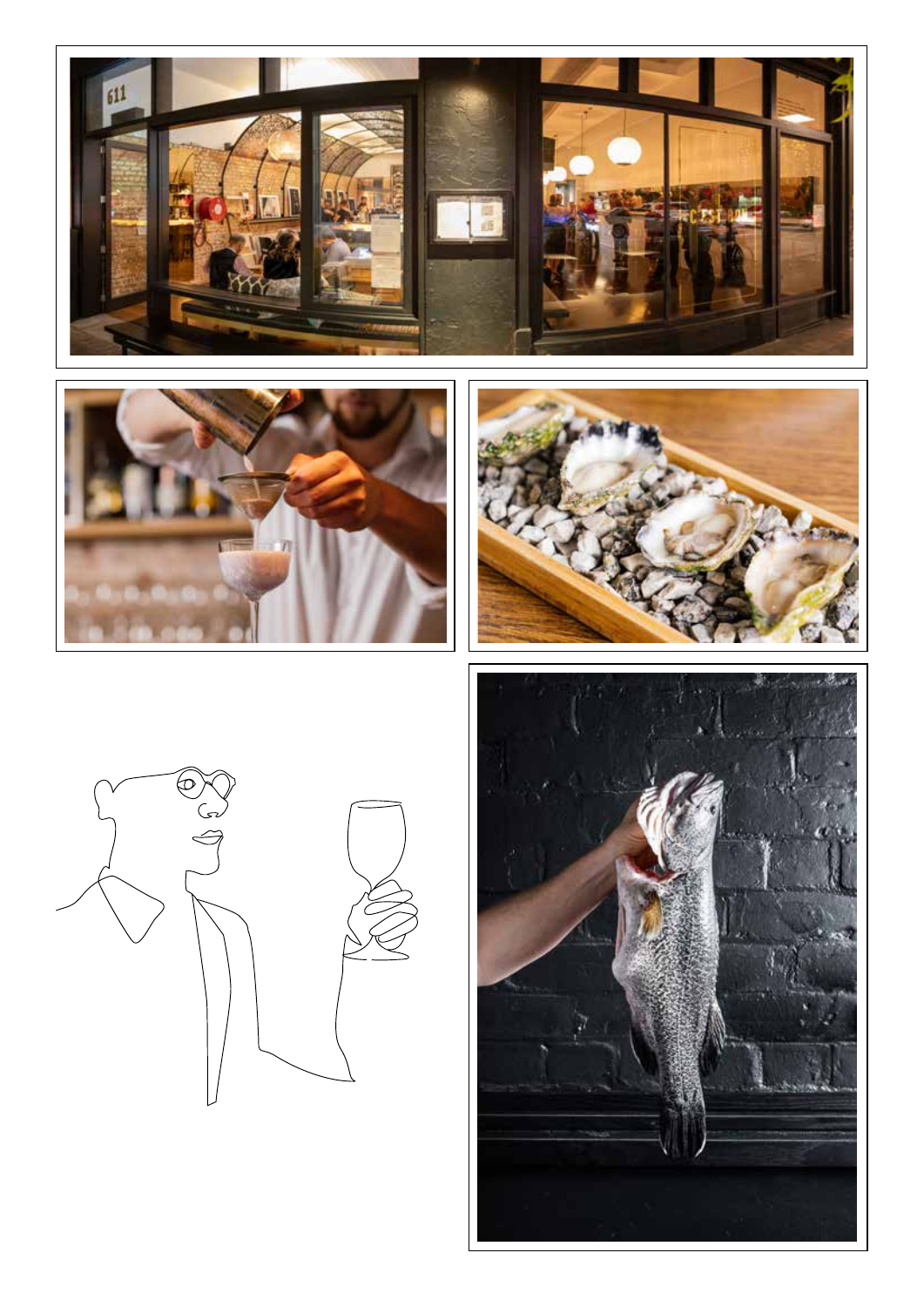







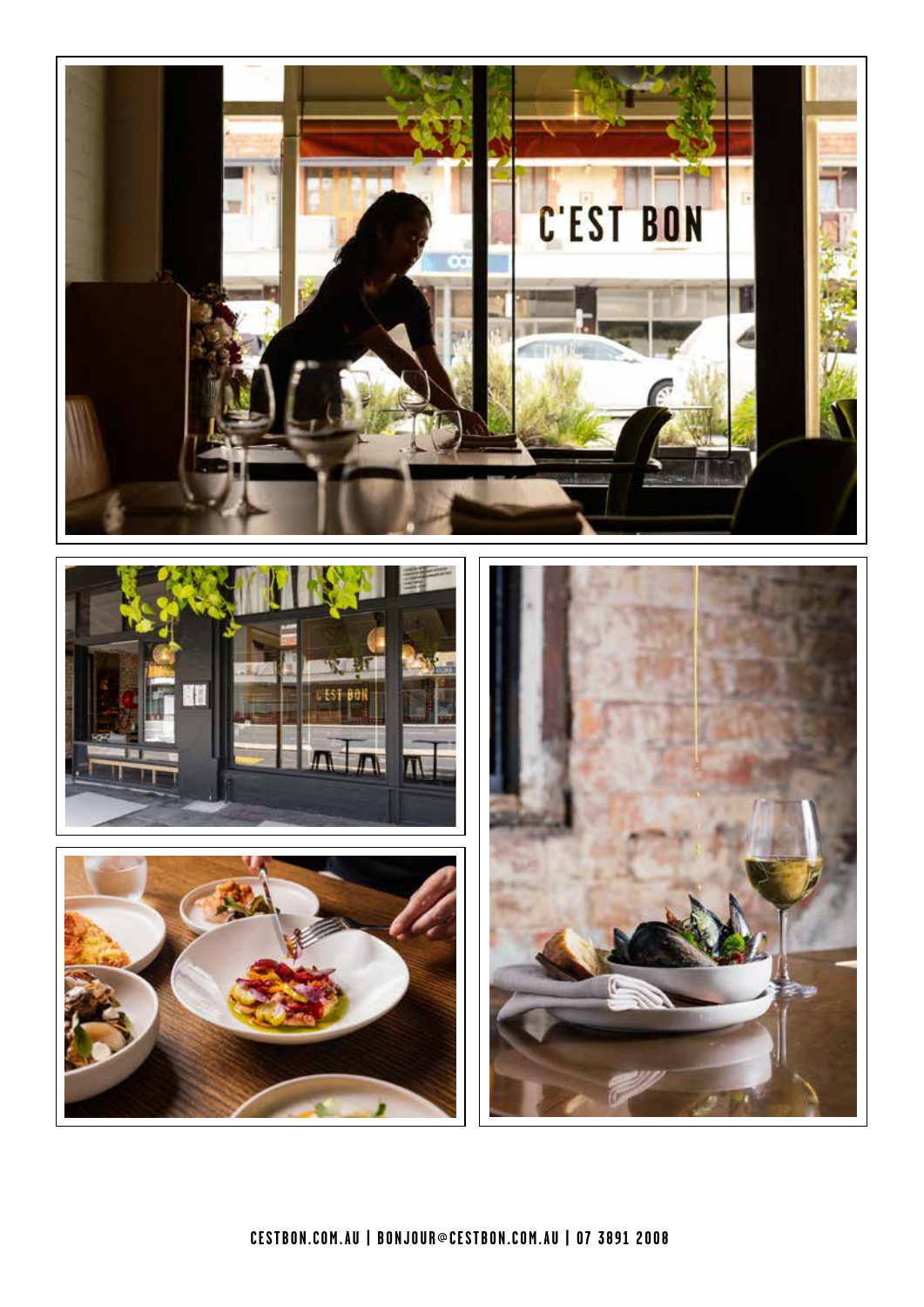